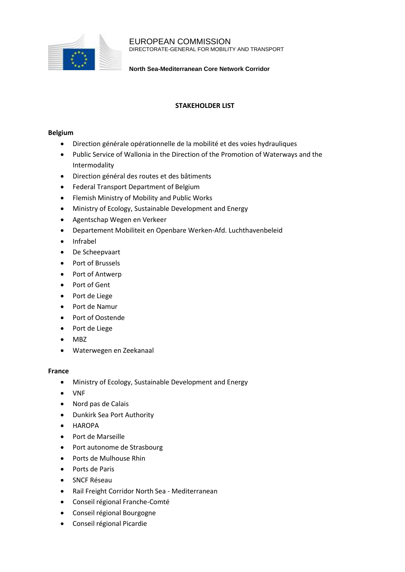

EUROPEAN COMMISSION DIRECTORATE-GENERAL FOR MOBILITY AND TRANSPORT

**North Sea-Mediterranean Core Network Corridor**

# **STAKEHOLDER LIST**

### **Belgium**

- Direction générale opérationnelle de la mobilité et des voies hydrauliques
- Public Service of Wallonia in the Direction of the Promotion of Waterways and the Intermodality
- Direction général des routes et des bâtiments
- Federal Transport Department of Belgium
- Flemish Ministry of Mobility and Public Works
- Ministry of Ecology, Sustainable Development and Energy
- Agentschap Wegen en Verkeer
- Departement Mobiliteit en Openbare Werken-Afd. Luchthavenbeleid
- Infrabel
- De Scheepvaart
- Port of Brussels
- Port of Antwerp
- Port of Gent
- Port de Liege
- Port de Namur
- Port of Oostende
- Port de Liege
- MBZ
- Waterwegen en Zeekanaal

### **France**

- Ministry of Ecology, Sustainable Development and Energy
- VNF
- Nord pas de Calais
- Dunkirk Sea Port Authority
- HAROPA
- Port de Marseille
- Port autonome de Strasbourg
- Ports de Mulhouse Rhin
- Ports de Paris
- SNCF Réseau
- Rail Freight Corridor North Sea Mediterranean
- Conseil régional Franche-Comté
- Conseil régional Bourgogne
- Conseil régional Picardie